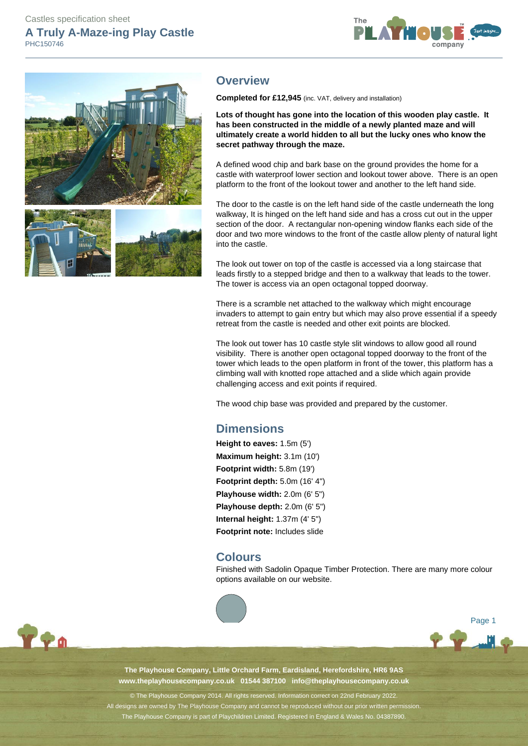# Castles specification sheet **A Truly A-Maze-ing Play Castle**

PHC150746





# **Overview**

**Completed for £12,945** (inc. VAT, delivery and installation)

**Lots of thought has gone into the location of this wooden play castle. It has been constructed in the middle of a newly planted maze and will ultimately create a world hidden to all but the lucky ones who know the secret pathway through the maze.**

A defined wood chip and bark base on the ground provides the home for a castle with waterproof lower section and lookout tower above. There is an open platform to the front of the lookout tower and another to the left hand side.

The door to the castle is on the left hand side of the castle underneath the long walkway, It is hinged on the left hand side and has a cross cut out in the upper section of the door. A rectangular non-opening window flanks each side of the door and two more windows to the front of the castle allow plenty of natural light into the castle.

The look out tower on top of the castle is accessed via a long staircase that leads firstly to a stepped bridge and then to a walkway that leads to the tower. The tower is access via an open octagonal topped doorway.

There is a scramble net attached to the walkway which might encourage invaders to attempt to gain entry but which may also prove essential if a speedy retreat from the castle is needed and other exit points are blocked.

The look out tower has 10 castle style slit windows to allow good all round visibility. There is another open octagonal topped doorway to the front of the tower which leads to the open platform in front of the tower, this platform has a climbing wall with knotted rope attached and a slide which again provide challenging access and exit points if required.

The wood chip base was provided and prepared by the customer.

# **Dimensions**

**Height to eaves:** 1.5m (5') **Maximum height:** 3.1m (10') **Footprint width:** 5.8m (19') **Footprint depth:** 5.0m (16' 4") **Playhouse width:** 2.0m (6' 5") **Playhouse depth:** 2.0m (6' 5") **Internal height:** 1.37m (4' 5") **Footprint note:** Includes slide

## **Colours**

Finished with Sadolin Opaque Timber Protection. There are many more colour options available on our website.





**The Playhouse Company, Little Orchard Farm, Eardisland, Herefordshire, HR6 9AS www.theplayhousecompany.co.uk 01544 387100 info@theplayhousecompany.co.uk**

© The Playhouse Company 2014. All rights reserved. Information correct on 22nd February 2022. All designs are owned by The Playhouse Company and cannot be reproduced without our prior written permissio The Playhouse Company is part of Playchildren Limited. Registered in England & Wales No. 04387890.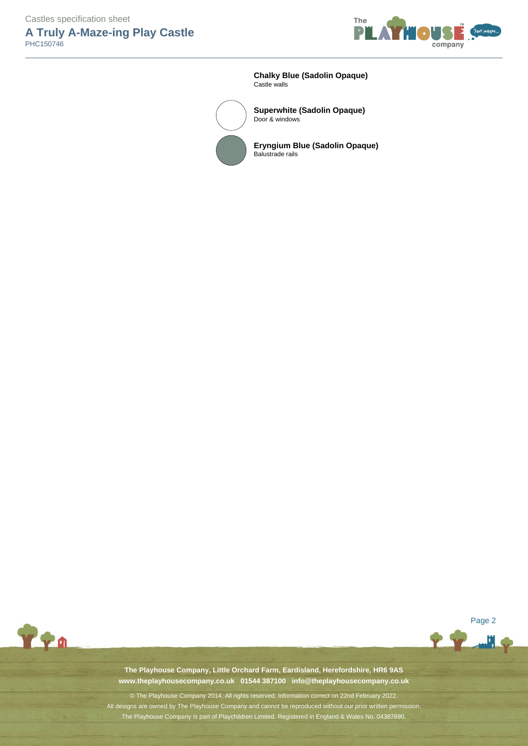Castles specification sheet

**A Truly A-Maze-ing Play Castle**  PHC150746



**Chalky Blue (Sadolin Opaque)** Castle walls



**Superwhite (Sadolin Opaque)** Door & windows

**Eryngium Blue (Sadolin Opaque)** Balustrade rails



Page 2

اللس

**The Playhouse Company, Little Orchard Farm, Eardisland, Herefordshire, HR6 9AS www.theplayhousecompany.co.uk 01544 387100 info@theplayhousecompany.co.uk**

© The Playhouse Company 2014. All rights reserved. Information correct on 22nd February 2022. All designs are owned by The Playhouse Company and cannot be reproduced without our prior written permission. The Playhouse Company is part of Playchildren Limited. Registered in England & Wales No. 04387890.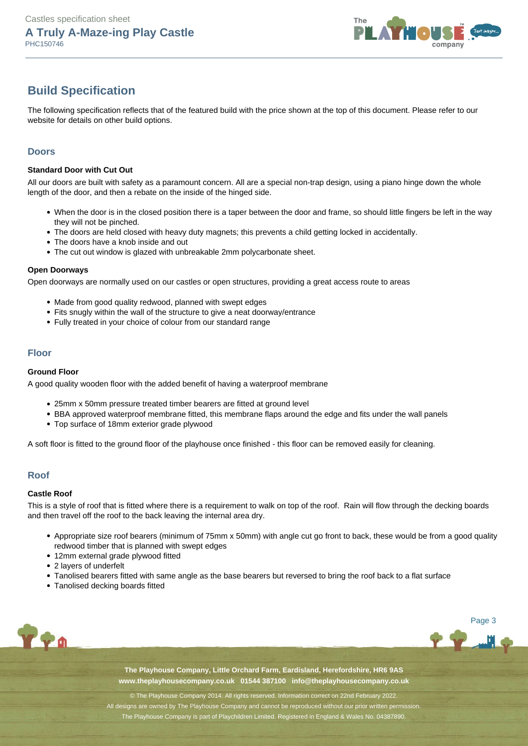

# **Build Specification**

The following specification reflects that of the featured build with the price shown at the top of this document. Please refer to our website for details on other build options.

### **Doors**

### **Standard Door with Cut Out**

All our doors are built with safety as a paramount concern. All are a special non-trap design, using a piano hinge down the whole length of the door, and then a rebate on the inside of the hinged side.

- When the door is in the closed position there is a taper between the door and frame, so should little fingers be left in the way they will not be pinched.
- The doors are held closed with heavy duty magnets; this prevents a child getting locked in accidentally.
- The doors have a knob inside and out
- The cut out window is glazed with unbreakable 2mm polycarbonate sheet.

#### **Open Doorways**

Open doorways are normally used on our castles or open structures, providing a great access route to areas

- Made from good quality redwood, planned with swept edges
- Fits snugly within the wall of the structure to give a neat doorway/entrance
- Fully treated in your choice of colour from our standard range

### **Floor**

#### **Ground Floor**

A good quality wooden floor with the added benefit of having a waterproof membrane

- 25mm x 50mm pressure treated timber bearers are fitted at ground level
- BBA approved waterproof membrane fitted, this membrane flaps around the edge and fits under the wall panels
- Top surface of 18mm exterior grade plywood

A soft floor is fitted to the ground floor of the playhouse once finished - this floor can be removed easily for cleaning.

### **Roof**

#### **Castle Roof**

This is a style of roof that is fitted where there is a requirement to walk on top of the roof. Rain will flow through the decking boards and then travel off the roof to the back leaving the internal area dry.

- Appropriate size roof bearers (minimum of 75mm x 50mm) with angle cut go front to back, these would be from a good quality redwood timber that is planned with swept edges
- 12mm external grade plywood fitted
- 2 layers of underfelt
- Tanolised bearers fitted with same angle as the base bearers but reversed to bring the roof back to a flat surface
- Tanolised decking boards fitted



Page 3

أألس

**The Playhouse Company, Little Orchard Farm, Eardisland, Herefordshire, HR6 9AS www.theplayhousecompany.co.uk 01544 387100 info@theplayhousecompany.co.uk**

© The Playhouse Company 2014. All rights reserved. Information correct on 22nd February 2022. All designs are owned by The Playhouse Company and cannot be reproduced without our prior written permission. The Playhouse Company is part of Playchildren Limited. Registered in England & Wales No. 04387890.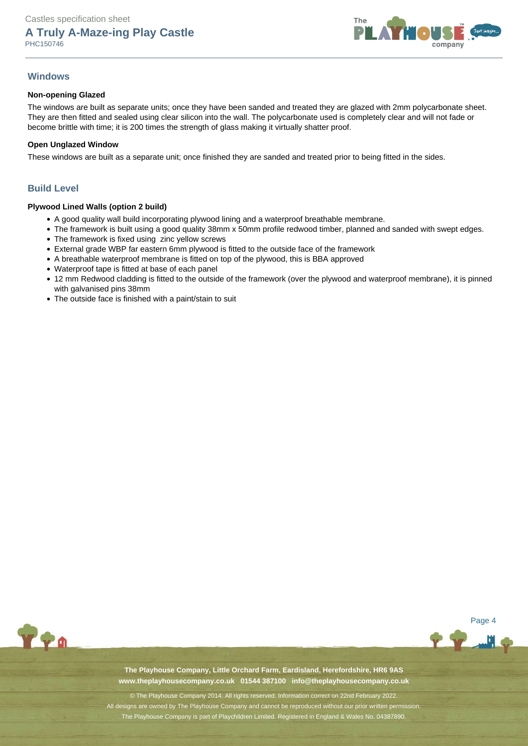

### **Windows**

### **Non-opening Glazed**

The windows are built as separate units; once they have been sanded and treated they are glazed with 2mm polycarbonate sheet. They are then fitted and sealed using clear silicon into the wall. The polycarbonate used is completely clear and will not fade or become brittle with time; it is 200 times the strength of glass making it virtually shatter proof.

#### **Open Unglazed Window**

These windows are built as a separate unit; once finished they are sanded and treated prior to being fitted in the sides.

### **Build Level**

#### **Plywood Lined Walls (option 2 build)**

- A good quality wall build incorporating plywood lining and a waterproof breathable membrane.
- The framework is built using a good quality 38mm x 50mm profile redwood timber, planned and sanded with swept edges.
- The framework is fixed using zinc yellow screws
- External grade WBP far eastern 6mm plywood is fitted to the outside face of the framework
- A breathable waterproof membrane is fitted on top of the plywood, this is BBA approved
- Waterproof tape is fitted at base of each panel
- 12 mm Redwood cladding is fitted to the outside of the framework (over the plywood and waterproof membrane), it is pinned with galvanised pins 38mm
- The outside face is finished with a paint/stain to suit



Page 4

**The Playhouse Company, Little Orchard Farm, Eardisland, Herefordshire, HR6 9AS www.theplayhousecompany.co.uk 01544 387100 info@theplayhousecompany.co.uk**

© The Playhouse Company 2014. All rights reserved. Information correct on 22nd February 2022. All designs are owned by The Playhouse Company and cannot be reproduced without our prior written permiss The Playhouse Company is part of Playchildren Limited. Registered in England & Wales No. 04387890.